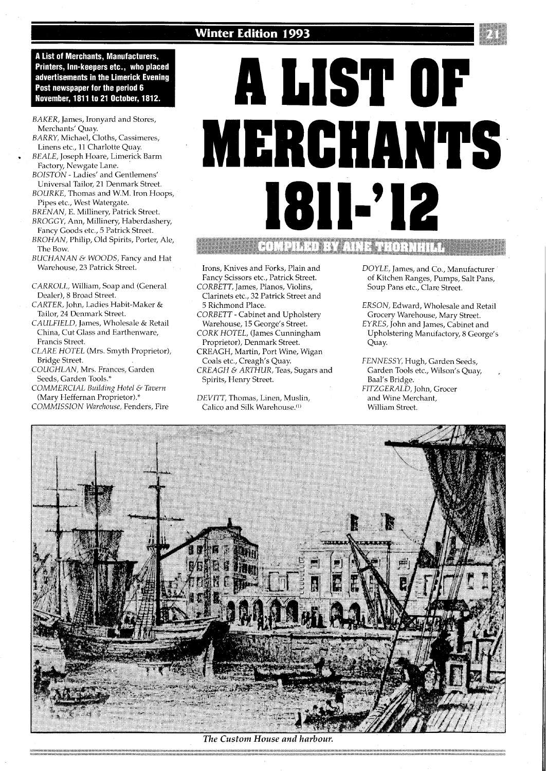## **Winter Edition 1993**



**A List of Merchants, Manufacturers,** Printers, Inn-keepers etc., who placed advertisements in the Limerick Evening Post newspaper for the period 6 November, 1811 to 21 October, 1812.

- *BAKER,* James, Ironyard and Stores, Merchants' Quay.
- *BARRY,* Michael, Cloths, Cassimeres, Linens etc., 11 Charlotte Quay.
- *BEALE,* Joseph Hoare, Limerick Barm Factory, Newgate Lane.
- *BOISTON*  Ladies' and Gentlemens' Universal Tailor, 21 Denmark Street.
- *BOURKE,* Thomas and W.M. Iron Hoops, Pipes etc., West Watergate.
- *BRENAN, E.* Millinery, Patrick Street. *BROGGY,* Ann, Millinery, Haberdashery,
- Fancy Goods etc., 5 Patrick Street. *BROHAN,* Philip, Old Spirits, Porter, Ale,
- The Bow.
- *BUCHANAN G. WOODS,* Fancy and Hat Warehouse, 23 Patrick Street.
- *CARROLL,* William, Soap and (General Dealer), 8 Broad Street.
- *CARTER,* John, Ladies Habit-Maker & Tailor, 24 Denmark Street.
- *CAULFIELD,* James, Wholesale & Retail China, Cut Glass and Earthenware, Francis Street.
- *CLARE HOTEL* (Mrs. Smyth Proprietor), Bridge Street.
- *COUGHLAN,* Mrs. Frances, Garden Seeds, Garden Tools.\*
- **COMMERCIAL Building Hotel & Tavern** (Mary Heffernan Proprietor).\*
- *COMMISSION Warehouse,* Fenders, Fire

# **A LIST OF MERCHANTS**  1811-'12

- Irons, Knives and Forks, Plain and Fancy Scissors etc., Patrick Street.
- *CORBETT,* James, Pianos, Violins, Clarinets etc., 32 Patrick Street and 5 Richmond Place.
- *CORBETT*  Cabinet and Upholstery Warehouse, 15 George's Street.
- *CORK HOTEL,* (James Cunningham Proprietor), Denmark Street.
- CREAGH, Martin, Port Wine, Wigan Coals etc., Creagh's Quay.
- *CREAGH G. ARTHUR,* Teas, Sugars and Spirits, Henry Street.

*DEVITT,* Thomas, Linen, Muslin, Calico and Silk Warehouse.<sup>(1)</sup>

- *DOYLE,* James, and Co., Manufacturer of Kitchen Ranges, Pumps, Salt Pans, Soup Pans etc., Clare Street.
- *ERSON,* Edward, Wholesale and Retail Grocery Warehouse, Mary Street.
- *EYRES,* John and James, Cabinet and Upholstering Manufactory, 8 George's Quay.
- *FENNESSY,* Hugh, Garden Seeds, Garden Tools etc., Wilson's Quay, , Baal's Bridge. *FITZGERALD,* John, Grocer and Wine Merchant, William Street.



The Custom House and harbour.